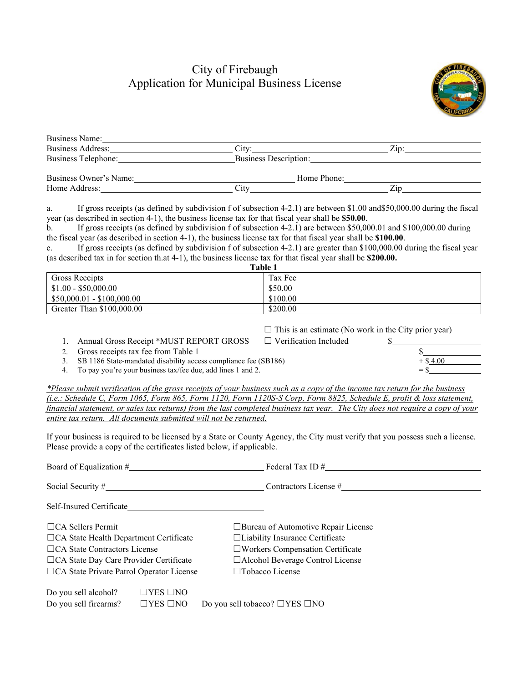## City of Firebaugh Application for Municipal Business License



| Business Name:           |                              |                    |
|--------------------------|------------------------------|--------------------|
| <b>Business Address:</b> | $Citv^*$                     | $\overline{Z}$ ip: |
| Business Telephone:      | <b>Business Description:</b> |                    |
| Business Owner's Name:   | Home Phone:                  |                    |
| Home Address:            | ∴ìtv                         | Zip                |

a. If gross receipts (as defined by subdivision f of subsection 4-2.1) are between \$1.00 and\$50,000.00 during the fiscal year (as described in section 4-1), the business license tax for that fiscal year shall be **\$50.00**.

b. If gross receipts (as defined by subdivision f of subsection 4-2.1) are between \$50,000.01 and \$100,000.00 during the fiscal year (as described in section 4-1), the business license tax for that fiscal year shall be **\$100.00**.

c. If gross receipts (as defined by subdivision f of subsection 4-2.1) are greater than \$100,000.00 during the fiscal year (as described tax in for section th.at 4-1), the business license tax for that fiscal year shall be **\$200.00.**

| <b>Table</b>               |          |  |  |  |
|----------------------------|----------|--|--|--|
| <b>Gross Receipts</b>      | Tax Fee  |  |  |  |
| $$1.00 - $50,000.00$       | \$50.00  |  |  |  |
| $$50,000.01 - $100,000.00$ | \$100.00 |  |  |  |
| Greater Than \$100,000.00  | \$200.00 |  |  |  |

| $\Box$ This is an estimate (No work in the City prior year) |  |  |
|-------------------------------------------------------------|--|--|
|-------------------------------------------------------------|--|--|

1. Annual Gross Receipt \*MUST REPORT GROSS □ Verification Included

2. Gross receipts tax fee from Table 1  $\frac{$}{3}$ . SB 1186 State-mandated disability access compliance fee (SB186)  $+$  \$ 4.00 3. SB 1186 State-mandated disability access compliance fee (SB186)

4. To pay you're your business tax/fee due, add lines 1 and 2.

*\*Please submit verification of the gross receipts of your business such as a copy of the income tax return for the business (i.e.: Schedule C, Form 1065, Form 865, Form 1120, Form 1120S-S Corp, Form 8825, Schedule E, profit & loss statement, financial statement, or sales tax returns) from the last completed business tax year. The City does not require a copy of your entire tax return. All documents submitted will not be returned.*

If your business is required to be licensed by a State or County Agency, the City must verify that you possess such a license. Please provide a copy of the certificates listed below, if applicable.

| Board of Equalization #                         |                      | Federal Tax ID $#$                         |
|-------------------------------------------------|----------------------|--------------------------------------------|
| Social Security $#$                             |                      | Contractors License #                      |
| Self-Insured Certificate                        |                      |                                            |
| $\Box$ CA Sellers Permit                        |                      | $\Box$ Bureau of Automotive Repair License |
| $\Box$ CA State Health Department Certificate   |                      | $\Box$ Liability Insurance Certificate     |
| $\Box$ CA State Contractors License             |                      | $\square$ Workers Compensation Certificate |
| $\Box$ CA State Day Care Provider Certificate   |                      | $\Box$ Alcohol Beverage Control License    |
| $\Box$ CA State Private Patrol Operator License |                      | $\Box$ Tobacco License                     |
| Do you sell alcohol?                            | $\Box$ YES $\Box$ NO |                                            |
| Do you sell firearms?                           | $\Box$ YES $\Box$ NO | Do you sell tobacco? $\Box$ YES $\Box$ NO  |